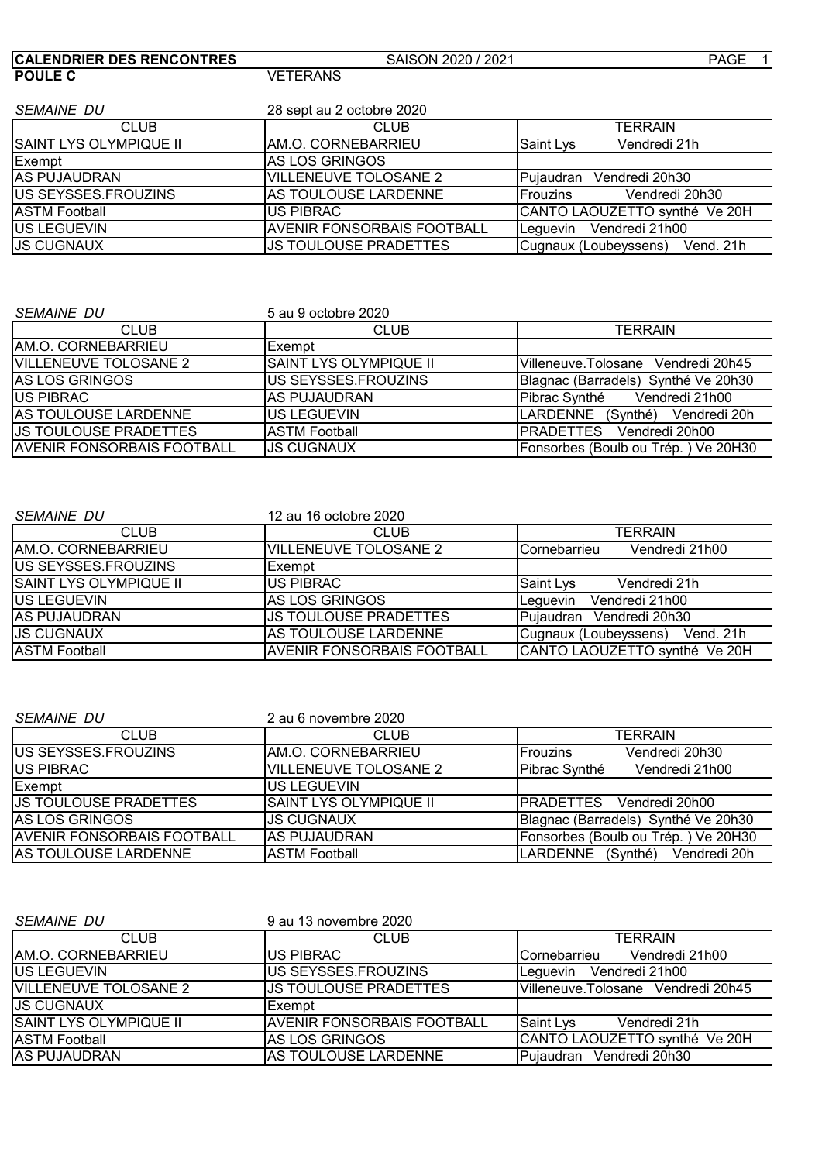| <b>CALENDRIER DES RENCONTRES</b> | SAISON 2020 / 2021                | PAGE 1                             |
|----------------------------------|-----------------------------------|------------------------------------|
| <b>POULE C</b>                   | <b>VETERANS</b>                   |                                    |
|                                  |                                   |                                    |
| <b>SEMAINE DU</b>                | 28 sept au 2 octobre 2020         |                                    |
| <b>CLUB</b>                      | <b>CLUB</b>                       | TERRAIN                            |
| SAINT LYS OLYMPIQUE II           | AM.O. CORNEBARRIEU                | Saint Lys<br>Vendredi 21h          |
| Exempt                           | <b>IAS LOS GRINGOS</b>            |                                    |
| <b>IAS PUJAUDRAN</b>             | <b>VILLENEUVE TOLOSANE 2</b>      | Pujaudran Vendredi 20h30           |
| US SEYSSES.FROUZINS              | AS TOULOUSE LARDENNE              | Frouzins<br>Vendredi 20h30         |
| <b>ASTM Football</b>             | <b>US PIBRAC</b>                  | CANTO LAOUZETTO synthé Ve 20H      |
| US LEGUEVIN                      | <b>AVENIR FONSORBAIS FOOTBALL</b> | Leguevin Vendredi 21h00            |
| <b>JS CUGNAUX</b>                | <b>JS TOULOUSE PRADETTES</b>      | Cugnaux (Loubeyssens)<br>Vend. 21h |

| <b>SEMAINE DU</b>          | 5 au 9 octobre 2020           |                                     |
|----------------------------|-------------------------------|-------------------------------------|
| <b>CLUB</b>                | <b>CLUB</b>                   | <b>TERRAIN</b>                      |
| IAM.O. CORNEBARRIEU        | Exempt                        |                                     |
| VILLENEUVE TOLOSANE 2      | <b>SAINT LYS OLYMPIQUE II</b> | lVilleneuve.Tolosane Vendredi 20h45 |
| AS LOS GRINGOS             | US SEYSSES.FROUZINS           | Blagnac (Barradels) Synthé Ve 20h30 |
| IUS PIBRAC                 | <b>AS PUJAUDRAN</b>           | Vendredi 21h00<br>Pibrac Synthé     |
| AS TOULOUSE LARDENNE       | US LEGUEVIN                   | LARDENNE (Synthé)<br>Vendredi 20h   |
| US TOULOUSE PRADETTES      | <b>ASTM Football</b>          | PRADETTES Vendredi 20h00            |
| AVENIR FONSORBAIS FOOTBALL | <b>JS CUGNAUX</b>             | Fonsorbes (Boulb ou Trép.) Ve 20H30 |

| <i>SEMAINE DU</i>             | 12 au 16 octobre 2020             |                                    |
|-------------------------------|-----------------------------------|------------------------------------|
| <b>CLUB</b>                   | <b>CLUB</b>                       | <b>TERRAIN</b>                     |
| IAM.O. CORNEBARRIEU           | <b>VILLENEUVE TOLOSANE 2</b>      | Vendredi 21h00<br>Cornebarrieu     |
| <b>IUS SEYSSES.FROUZINS</b>   | <b>Exempt</b>                     |                                    |
| <b>SAINT LYS OLYMPIQUE II</b> | <b>IUS PIBRAC</b>                 | Saint Lys<br>Vendredi 21h          |
| <b>IUS LEGUEVIN</b>           | <b>AS LOS GRINGOS</b>             | Vendredi 21h00<br>Leguevin         |
| <b>AS PUJAUDRAN</b>           | <b>JS TOULOUSE PRADETTES</b>      | Pujaudran<br>Vendredi 20h30        |
| <b>JS CUGNAUX</b>             | <b>IAS TOULOUSE LARDENNE</b>      | Cugnaux (Loubeyssens)<br>Vend, 21h |
| <b>ASTM Football</b>          | <b>AVENIR FONSORBAIS FOOTBALL</b> | CANTO LAOUZETTO synthé Ve 20H      |

| <b>SEMAINE DU</b>                 | 2 au 6 novembre 2020          |                                     |
|-----------------------------------|-------------------------------|-------------------------------------|
| <b>CLUB</b>                       | <b>CLUB</b>                   | <b>TERRAIN</b>                      |
| <b>IUS SEYSSES.FROUZINS</b>       | IAM.O. CORNEBARRIEU           | Vendredi 20h30<br><b>IFrouzins</b>  |
| <b>US PIBRAC</b>                  | <b>VILLENEUVE TOLOSANE 2</b>  | Pibrac Synthé<br>Vendredi 21h00     |
| Exempt                            | IUS LEGUEVIN                  |                                     |
| <b>US TOULOUSE PRADETTES</b>      | <b>SAINT LYS OLYMPIQUE II</b> | IPRADETTES Vendredi 20h00           |
| <b>IAS LOS GRINGOS</b>            | <b>JS CUGNAUX</b>             | Blagnac (Barradels) Synthé Ve 20h30 |
| <b>AVENIR FONSORBAIS FOOTBALL</b> | <b>IAS PUJAUDRAN</b>          | Fonsorbes (Boulb ou Trép.) Ve 20H30 |
| AS TOULOUSE LARDENNE              | <b>ASTM Football</b>          | LARDENNE (Synthé)<br>Vendredi 20h   |

| <i>SEMAINE DU</i>             | 9 au 13 novembre 2020             |                                        |
|-------------------------------|-----------------------------------|----------------------------------------|
| <b>CLUB</b>                   | <b>CLUB</b>                       | <b>TERRAIN</b>                         |
| IAM.O. CORNEBARRIEU           | <b>IUS PIBRAC</b>                 | Vendredi 21h00<br><b>ICornebarrieu</b> |
| <b>IUS LEGUEVIN</b>           | IUS SEYSSES.FROUZINS              | Leguevin Vendredi 21h00                |
| <b>VILLENEUVE TOLOSANE 2</b>  | <b>US TOULOUSE PRADETTES</b>      | Villeneuve.Tolosane Vendredi 20h45     |
| <b>JS CUGNAUX</b>             | Exempt                            |                                        |
| <b>SAINT LYS OLYMPIQUE II</b> | <b>AVENIR FONSORBAIS FOOTBALL</b> | Saint Lys<br>Vendredi 21h              |
| <b>ASTM Football</b>          | IAS LOS GRINGOS                   | CANTO LAOUZETTO synthé Ve 20H          |
| <b>AS PUJAUDRAN</b>           | AS TOULOUSE LARDENNE              | Pujaudran Vendredi 20h30               |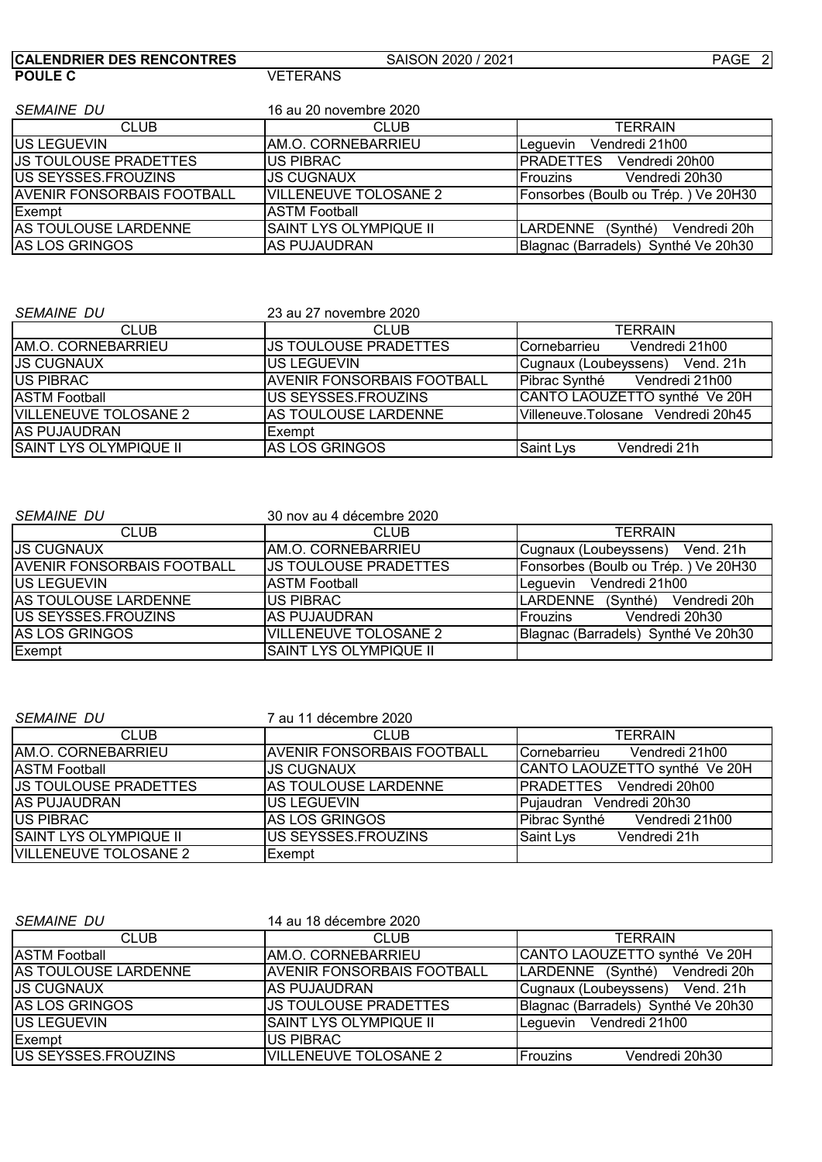| <b>CALENDRIER DES RENCONTRES</b>  | SAISON 2020 / 2021           | PAGE 2                                      |
|-----------------------------------|------------------------------|---------------------------------------------|
| <b>POULE C</b>                    | <b>VETERANS</b>              |                                             |
|                                   |                              |                                             |
| <b>SEMAINE DU</b>                 | 16 au 20 novembre 2020       |                                             |
| <b>CLUB</b>                       | <b>CLUB</b>                  | TERRAIN                                     |
| <b>IUS LEGUEVIN</b>               | AM.O. CORNEBARRIEU           | Vendredi 21h00<br>Lequevin                  |
| <b>JS TOULOUSE PRADETTES</b>      | <b>US PIBRAC</b>             | <b>PRADETTES</b><br>Vendredi 20h00          |
| US SEYSSES.FROUZINS               | <b>JS CUGNAUX</b>            | Vendredi 20h30<br><b>Frouzins</b>           |
| <b>AVENIR FONSORBAIS FOOTBALL</b> | <b>VILLENEUVE TOLOSANE 2</b> | Fonsorbes (Boulb ou Trép.) Ve 20H30         |
| Exempt                            | <b>ASTM Football</b>         |                                             |
| <b>AS TOULOUSE LARDENNE</b>       | SAINT LYS OLYMPIQUE II       | <b>LARDENNE</b><br>(Synthé)<br>Vendredi 20h |
| <b>AS LOS GRINGOS</b>             | <b>AS PUJAUDRAN</b>          | Blagnac (Barradels) Synthé Ve 20h30         |

| <i>SEMAINE DU</i>             | 23 au 27 novembre 2020            |                                    |
|-------------------------------|-----------------------------------|------------------------------------|
| <b>CLUB</b>                   | <b>CLUB</b>                       | <b>TERRAIN</b>                     |
| <b>AM.O. CORNEBARRIEU</b>     | IJS TOULOUSE PRADETTES            | Vendredi 21h00<br>Cornebarrieu     |
| <b>JS CUGNAUX</b>             | <b>IUS LEGUEVIN</b>               | Cugnaux (Loubeyssens) Vend. 21h    |
| <b>IUS PIBRAC</b>             | <b>AVENIR FONSORBAIS FOOTBALL</b> | Pibrac Synthé Vendredi 21h00       |
| <b>ASTM Football</b>          | IUS SEYSSES.FROUZINS              | CANTO LAOUZETTO synthé Ve 20H      |
| <b>VILLENEUVE TOLOSANE 2</b>  | <b>AS TOULOUSE LARDENNE</b>       | Villeneuve.Tolosane Vendredi 20h45 |
| <b>JAS PUJAUDRAN</b>          | <b>Exempt</b>                     |                                    |
| <b>SAINT LYS OLYMPIQUE II</b> | AS LOS GRINGOS                    | Saint Lys<br>Vendredi 21h          |

| <b>SEMAINE DU</b>                 | 30 nov au 4 décembre 2020    |                                     |
|-----------------------------------|------------------------------|-------------------------------------|
| <b>CLUB</b>                       | CLUB                         | <b>TERRAIN</b>                      |
| IJS CUGNAUX                       | IAM.O. CORNEBARRIEU          | Vend, 21h<br>Cugnaux (Loubeyssens)  |
| <b>AVENIR FONSORBAIS FOOTBALL</b> | <b>US TOULOUSE PRADETTES</b> | Fonsorbes (Boulb ou Trép.) Ve 20H30 |
| <b>IUS LEGUEVIN</b>               | <b>ASTM Football</b>         | Vendredi 21h00<br>Lequevin          |
| <b>AS TOULOUSE LARDENNE</b>       | <b>IUS PIBRAC</b>            | LARDENNE (Synthé) Vendredi 20h      |
| <b>IUS SEYSSES.FROUZINS</b>       | IAS PUJAUDRAN                | Frouzins<br>Vendredi 20h30          |
| AS LOS GRINGOS                    | <b>VILLENEUVE TOLOSANE 2</b> | Blagnac (Barradels) Synthé Ve 20h30 |
| Exempt                            | SAINT LYS OLYMPIQUE II       |                                     |

| <b>SEMAINE DU</b>            | 7 au 11 décembre 2020       |                                        |
|------------------------------|-----------------------------|----------------------------------------|
| <b>CLUB</b>                  | <b>CLUB</b>                 | <b>TERRAIN</b>                         |
| IAM.O. CORNEBARRIEU          | IAVENIR FONSORBAIS FOOTBALL | Vendredi 21h00<br><b>ICornebarrieu</b> |
| <b>IASTM Football</b>        | IJS CUGNAUX                 | CANTO LAOUZETTO synthé Ve 20H          |
| <b>US TOULOUSE PRADETTES</b> | IAS TOULOUSE LARDENNE       | <b>IPRADETTES</b> Vendredi 20h00       |
| IAS PUJAUDRAN                | <b>IUS LEGUEVIN</b>         | Pujaudran Vendredi 20h30               |
| <b>IUS PIBRAC</b>            | <b>AS LOS GRINGOS</b>       | Vendredi 21h00<br>Pibrac Synthé        |
| SAINT LYS OLYMPIQUE II       | <b>IUS SEYSSES.FROUZINS</b> | <b>Saint Lys</b><br>Vendredi 21h       |
| <b>VILLENEUVE TOLOSANE 2</b> | Exempt                      |                                        |

| <b>SEMAINE DU</b>           | 14 au 18 décembre 2020            |                                     |
|-----------------------------|-----------------------------------|-------------------------------------|
| <b>CLUB</b>                 | <b>CLUB</b>                       | <b>TERRAIN</b>                      |
| <b>ASTM Football</b>        | IAM.O. CORNEBARRIEU               | CANTO LAOUZETTO synthé Ve 20H       |
| <b>AS TOULOUSE LARDENNE</b> | <b>AVENIR FONSORBAIS FOOTBALL</b> | LARDENNE (Synthé)<br>Vendredi 20h   |
| <b>IJS CUGNAUX</b>          | IAS PUJAUDRAN                     | Cugnaux (Loubeyssens) Vend. 21h     |
| <b>IAS LOS GRINGOS</b>      | <b>US TOULOUSE PRADETTES</b>      | Blagnac (Barradels) Synthé Ve 20h30 |
| <b>IUS LEGUEVIN</b>         | <b>SAINT LYS OLYMPIQUE II</b>     | Leguevin Vendredi 21h00             |
| Exempt                      | <b>US PIBRAC</b>                  |                                     |
| <b>US SEYSSES.FROUZINS</b>  | <b>VILLENEUVE TOLOSANE 2</b>      | Vendredi 20h30<br><b>Frouzins</b>   |